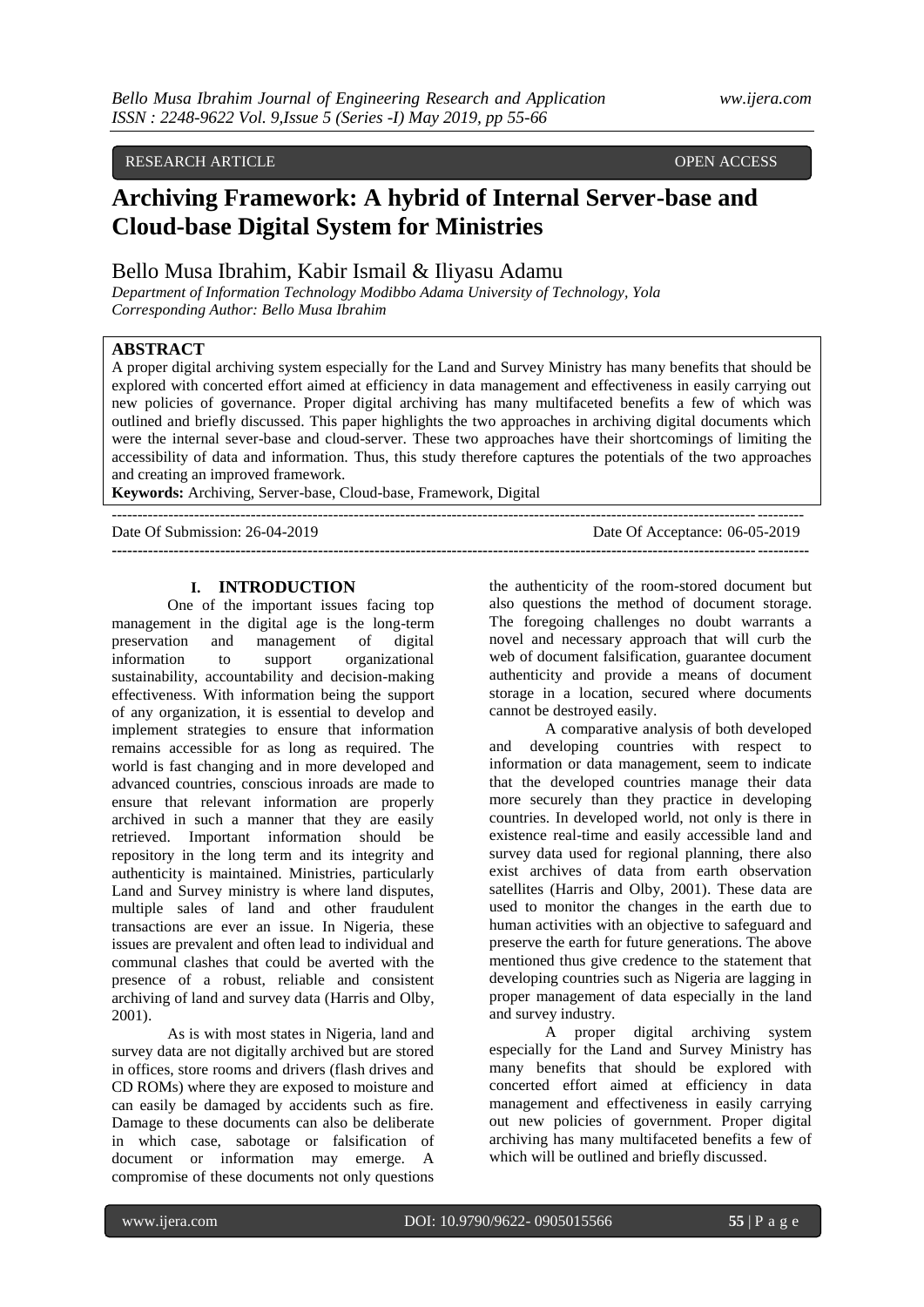# RESEARCH ARTICLE **CONSERVERS** OPEN ACCESS

# **Archiving Framework: A hybrid of Internal Server-base and Cloud-base Digital System for Ministries**

# Bello Musa Ibrahim, Kabir Ismail & Iliyasu Adamu

*Department of Information Technology Modibbo Adama University of Technology, Yola Corresponding Author: Bello Musa Ibrahim*

# **ABSTRACT**

A proper digital archiving system especially for the Land and Survey Ministry has many benefits that should be explored with concerted effort aimed at efficiency in data management and effectiveness in easily carrying out new policies of governance. Proper digital archiving has many multifaceted benefits a few of which was outlined and briefly discussed. This paper highlights the two approaches in archiving digital documents which were the internal sever-base and cloud-server. These two approaches have their shortcomings of limiting the accessibility of data and information. Thus, this study therefore captures the potentials of the two approaches and creating an improved framework.

--------------------------------------------------------------------------------------------------------------------------------------

**---------------------------------------------------------------------------------------------------------------------------------------**

**Keywords:** Archiving, Server-base, Cloud-base, Framework, Digital

Date Of Submission: 26-04-2019 Date Of Acceptance: 06-05-2019

### **I. INTRODUCTION**

One of the important issues facing top management in the digital age is the long-term preservation and management of digital information to support organizational sustainability, accountability and decision-making effectiveness. With information being the support of any organization, it is essential to develop and implement strategies to ensure that information remains accessible for as long as required. The world is fast changing and in more developed and advanced countries, conscious inroads are made to ensure that relevant information are properly archived in such a manner that they are easily retrieved. Important information should be repository in the long term and its integrity and authenticity is maintained. Ministries, particularly Land and Survey ministry is where land disputes, multiple sales of land and other fraudulent transactions are ever an issue. In Nigeria, these issues are prevalent and often lead to individual and communal clashes that could be averted with the presence of a robust, reliable and consistent archiving of land and survey data (Harris and Olby, 2001).

As is with most states in Nigeria, land and survey data are not digitally archived but are stored in offices, store rooms and drivers (flash drives and CD ROMs) where they are exposed to moisture and can easily be damaged by accidents such as fire. Damage to these documents can also be deliberate in which case, sabotage or falsification of document or information may emerge. A compromise of these documents not only questions

the authenticity of the room-stored document but also questions the method of document storage. The foregoing challenges no doubt warrants a novel and necessary approach that will curb the web of document falsification, guarantee document authenticity and provide a means of document storage in a location, secured where documents cannot be destroyed easily.

A comparative analysis of both developed and developing countries with respect to information or data management, seem to indicate that the developed countries manage their data more securely than they practice in developing countries. In developed world, not only is there in existence real-time and easily accessible land and survey data used for regional planning, there also exist archives of data from earth observation satellites (Harris and Olby, 2001). These data are used to monitor the changes in the earth due to human activities with an objective to safeguard and preserve the earth for future generations. The above mentioned thus give credence to the statement that developing countries such as Nigeria are lagging in proper management of data especially in the land and survey industry.

A proper digital archiving system especially for the Land and Survey Ministry has many benefits that should be explored with concerted effort aimed at efficiency in data management and effectiveness in easily carrying out new policies of government. Proper digital archiving has many multifaceted benefits a few of which will be outlined and briefly discussed.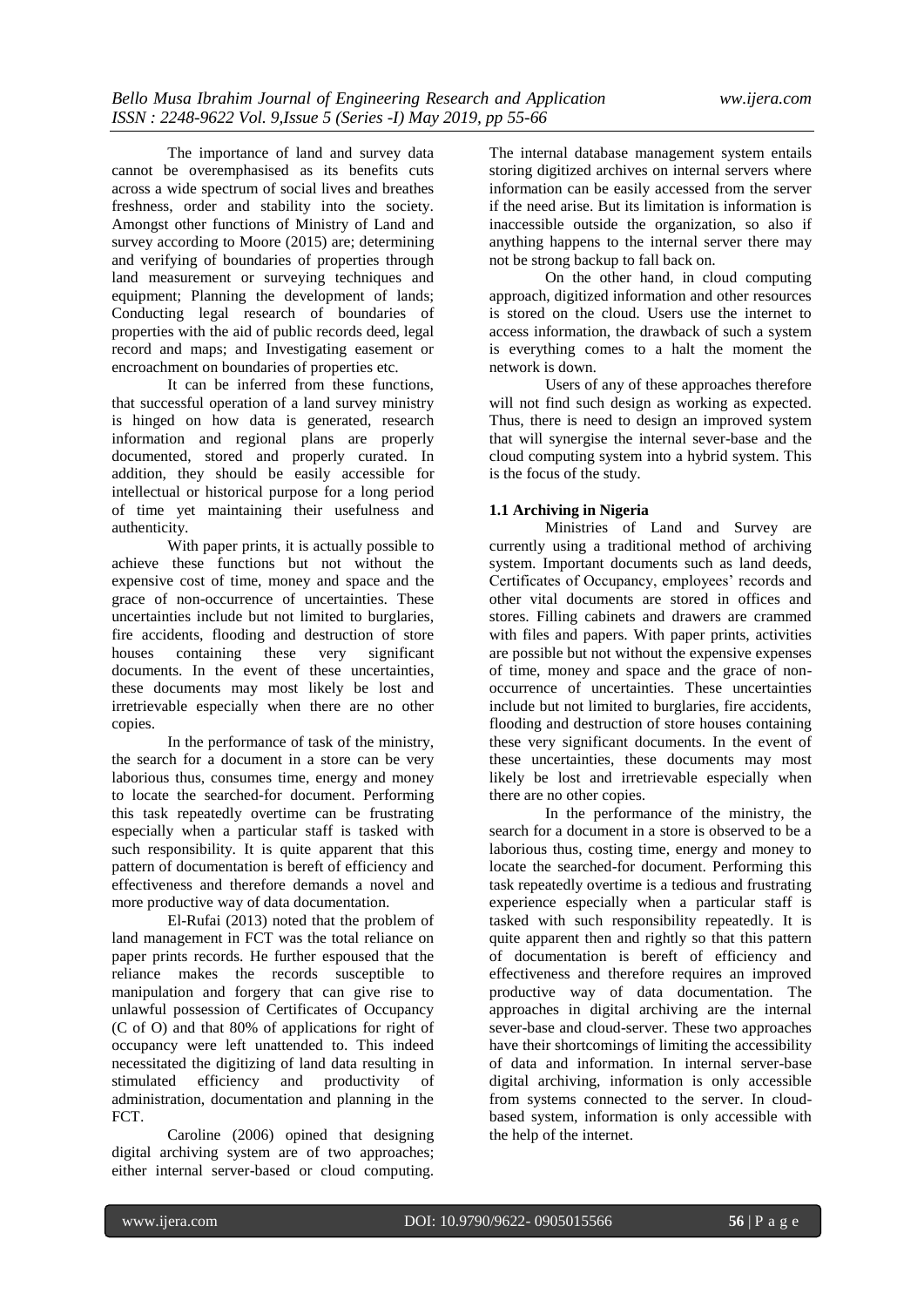The importance of land and survey data cannot be overemphasised as its benefits cuts across a wide spectrum of social lives and breathes freshness, order and stability into the society. Amongst other functions of Ministry of Land and survey according to Moore (2015) are; determining and verifying of boundaries of properties through land measurement or surveying techniques and equipment; Planning the development of lands; Conducting legal research of boundaries of properties with the aid of public records deed, legal record and maps; and Investigating easement or encroachment on boundaries of properties etc.

It can be inferred from these functions, that successful operation of a land survey ministry is hinged on how data is generated, research information and regional plans are properly documented, stored and properly curated. In addition, they should be easily accessible for intellectual or historical purpose for a long period of time yet maintaining their usefulness and authenticity.

With paper prints, it is actually possible to achieve these functions but not without the expensive cost of time, money and space and the grace of non-occurrence of uncertainties. These uncertainties include but not limited to burglaries, fire accidents, flooding and destruction of store houses containing these very significant documents. In the event of these uncertainties, these documents may most likely be lost and irretrievable especially when there are no other copies.

In the performance of task of the ministry, the search for a document in a store can be very laborious thus, consumes time, energy and money to locate the searched-for document. Performing this task repeatedly overtime can be frustrating especially when a particular staff is tasked with such responsibility. It is quite apparent that this pattern of documentation is bereft of efficiency and effectiveness and therefore demands a novel and more productive way of data documentation.

El-Rufai (2013) noted that the problem of land management in FCT was the total reliance on paper prints records. He further espoused that the reliance makes the records susceptible to manipulation and forgery that can give rise to unlawful possession of Certificates of Occupancy (C of O) and that 80% of applications for right of occupancy were left unattended to. This indeed necessitated the digitizing of land data resulting in stimulated efficiency and productivity of administration, documentation and planning in the FCT.

Caroline (2006) opined that designing digital archiving system are of two approaches; either internal server-based or cloud computing.

The internal database management system entails storing digitized archives on internal servers where information can be easily accessed from the server if the need arise. But its limitation is information is inaccessible outside the organization, so also if anything happens to the internal server there may not be strong backup to fall back on.

On the other hand, in cloud computing approach, digitized information and other resources is stored on the cloud. Users use the internet to access information, the drawback of such a system is everything comes to a halt the moment the network is down.

Users of any of these approaches therefore will not find such design as working as expected. Thus, there is need to design an improved system that will synergise the internal sever-base and the cloud computing system into a hybrid system. This is the focus of the study.

### **1.1 Archiving in Nigeria**

Ministries of Land and Survey are currently using a traditional method of archiving system. Important documents such as land deeds, Certificates of Occupancy, employees' records and other vital documents are stored in offices and stores. Filling cabinets and drawers are crammed with files and papers. With paper prints, activities are possible but not without the expensive expenses of time, money and space and the grace of nonoccurrence of uncertainties. These uncertainties include but not limited to burglaries, fire accidents, flooding and destruction of store houses containing these very significant documents. In the event of these uncertainties, these documents may most likely be lost and irretrievable especially when there are no other copies.

In the performance of the ministry, the search for a document in a store is observed to be a laborious thus, costing time, energy and money to locate the searched-for document. Performing this task repeatedly overtime is a tedious and frustrating experience especially when a particular staff is tasked with such responsibility repeatedly. It is quite apparent then and rightly so that this pattern of documentation is bereft of efficiency and effectiveness and therefore requires an improved productive way of data documentation. The approaches in digital archiving are the internal sever-base and cloud-server. These two approaches have their shortcomings of limiting the accessibility of data and information. In internal server-base digital archiving, information is only accessible from systems connected to the server. In cloudbased system, information is only accessible with the help of the internet.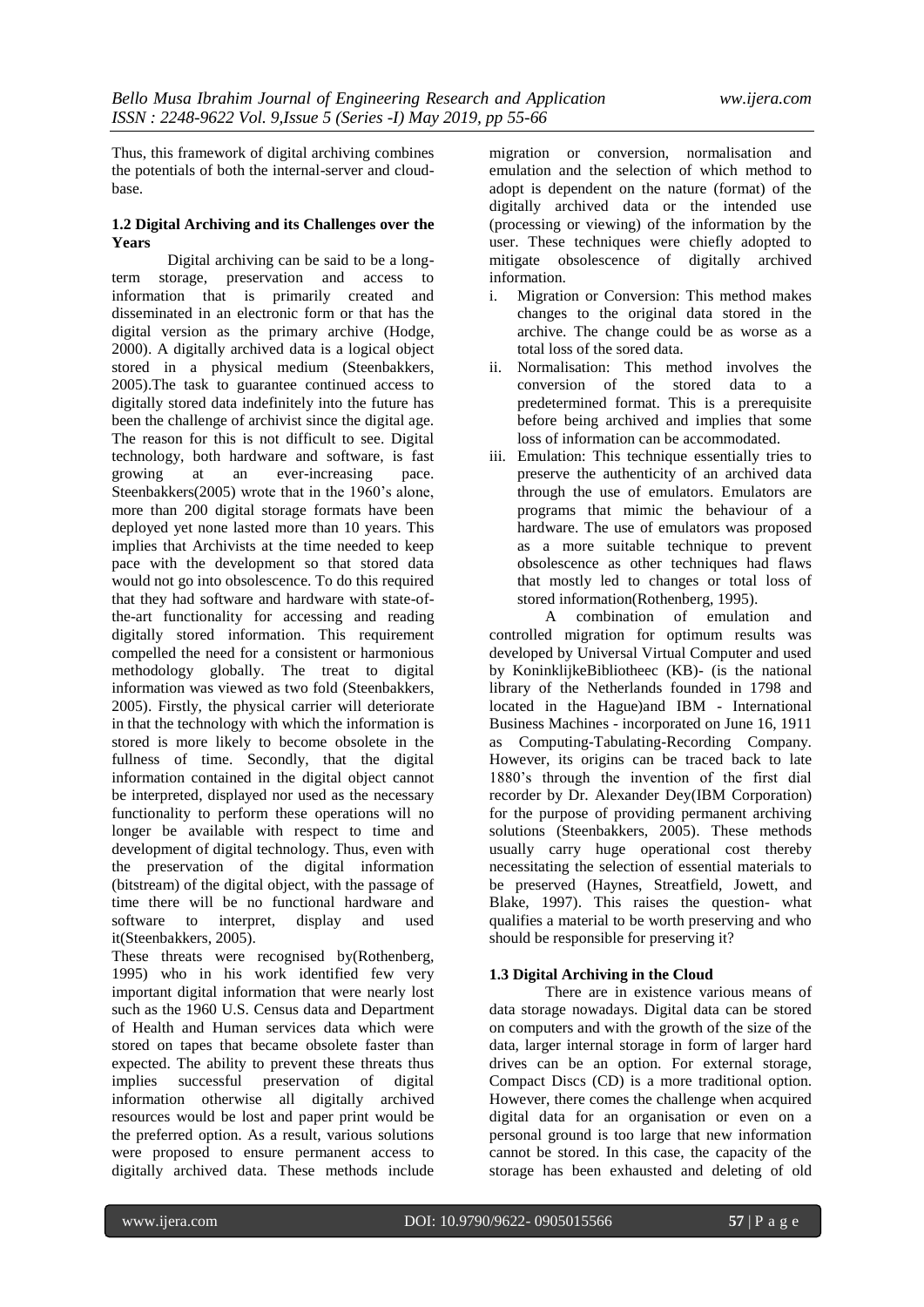Thus, this framework of digital archiving combines the potentials of both the internal-server and cloudbase.

### **1.2 Digital Archiving and its Challenges over the Years**

Digital archiving can be said to be a longterm storage, preservation and access to information that is primarily created and disseminated in an electronic form or that has the digital version as the primary archive (Hodge, 2000). A digitally archived data is a logical object stored in a physical medium (Steenbakkers, 2005).The task to guarantee continued access to digitally stored data indefinitely into the future has been the challenge of archivist since the digital age. The reason for this is not difficult to see. Digital technology, both hardware and software, is fast growing at an ever-increasing pace. Steenbakkers(2005) wrote that in the 1960's alone, more than 200 digital storage formats have been deployed yet none lasted more than 10 years. This implies that Archivists at the time needed to keep pace with the development so that stored data would not go into obsolescence. To do this required that they had software and hardware with state-ofthe-art functionality for accessing and reading digitally stored information. This requirement compelled the need for a consistent or harmonious methodology globally. The treat to digital information was viewed as two fold (Steenbakkers, 2005). Firstly, the physical carrier will deteriorate in that the technology with which the information is stored is more likely to become obsolete in the fullness of time. Secondly, that the digital information contained in the digital object cannot be interpreted, displayed nor used as the necessary functionality to perform these operations will no longer be available with respect to time and development of digital technology. Thus, even with the preservation of the digital information (bitstream) of the digital object, with the passage of time there will be no functional hardware and software to interpret, display and used it(Steenbakkers, 2005).

These threats were recognised by(Rothenberg, 1995) who in his work identified few very important digital information that were nearly lost such as the 1960 U.S. Census data and Department of Health and Human services data which were stored on tapes that became obsolete faster than expected. The ability to prevent these threats thus implies successful preservation of digital information otherwise all digitally archived resources would be lost and paper print would be the preferred option. As a result, various solutions were proposed to ensure permanent access to digitally archived data. These methods include

migration or conversion, normalisation and emulation and the selection of which method to adopt is dependent on the nature (format) of the digitally archived data or the intended use (processing or viewing) of the information by the user. These techniques were chiefly adopted to mitigate obsolescence of digitally archived information.

- i. Migration or Conversion: This method makes changes to the original data stored in the archive. The change could be as worse as a total loss of the sored data.
- ii. Normalisation: This method involves the conversion of the stored data to a predetermined format. This is a prerequisite before being archived and implies that some loss of information can be accommodated.
- iii. Emulation: This technique essentially tries to preserve the authenticity of an archived data through the use of emulators. Emulators are programs that mimic the behaviour of a hardware. The use of emulators was proposed as a more suitable technique to prevent obsolescence as other techniques had flaws that mostly led to changes or total loss of stored information(Rothenberg, 1995).

A combination of emulation and controlled migration for optimum results was developed by Universal Virtual Computer and used by KoninklijkeBibliotheec (KB)- (is the national library of the Netherlands founded in 1798 and located in the Hague)and IBM - International Business Machines - incorporated on June 16, 1911 as Computing-Tabulating-Recording Company. However, its origins can be traced back to late 1880"s through the invention of the first dial recorder by Dr. Alexander Dey(IBM Corporation) for the purpose of providing permanent archiving solutions (Steenbakkers, 2005). These methods usually carry huge operational cost thereby necessitating the selection of essential materials to be preserved (Haynes, Streatfield, Jowett, and Blake, 1997). This raises the question- what qualifies a material to be worth preserving and who should be responsible for preserving it?

## **1.3 Digital Archiving in the Cloud**

There are in existence various means of data storage nowadays. Digital data can be stored on computers and with the growth of the size of the data, larger internal storage in form of larger hard drives can be an option. For external storage, Compact Discs (CD) is a more traditional option. However, there comes the challenge when acquired digital data for an organisation or even on a personal ground is too large that new information cannot be stored. In this case, the capacity of the storage has been exhausted and deleting of old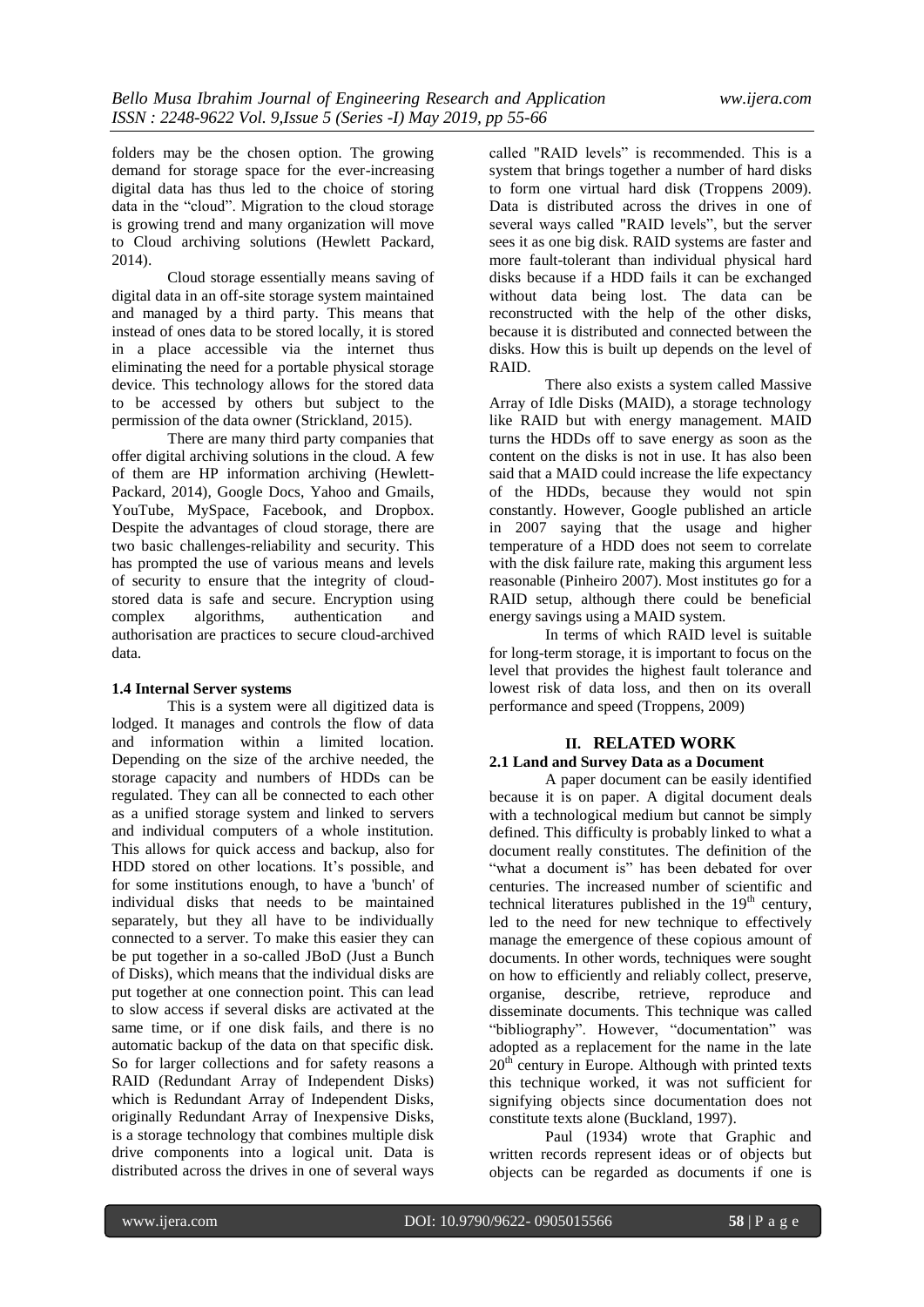folders may be the chosen option. The growing demand for storage space for the ever-increasing digital data has thus led to the choice of storing data in the "cloud". Migration to the cloud storage is growing trend and many organization will move to Cloud archiving solutions (Hewlett Packard, 2014).

Cloud storage essentially means saving of digital data in an off-site storage system maintained and managed by a third party. This means that instead of ones data to be stored locally, it is stored in a place accessible via the internet thus eliminating the need for a portable physical storage device. This technology allows for the stored data to be accessed by others but subject to the permission of the data owner (Strickland, 2015).

There are many third party companies that offer digital archiving solutions in the cloud. A few of them are HP information archiving (Hewlett-Packard, 2014), Google Docs, Yahoo and Gmails, YouTube, MySpace, Facebook, and Dropbox. Despite the advantages of cloud storage, there are two basic challenges-reliability and security. This has prompted the use of various means and levels of security to ensure that the integrity of cloudstored data is safe and secure. Encryption using complex algorithms, authentication and authorisation are practices to secure cloud-archived data.

#### **1.4 Internal Server systems**

This is a system were all digitized data is lodged. It manages and controls the flow of data and information within a limited location. Depending on the size of the archive needed, the storage capacity and numbers of HDDs can be regulated. They can all be connected to each other as a unified storage system and linked to servers and individual computers of a whole institution. This allows for quick access and backup, also for HDD stored on other locations. It's possible, and for some institutions enough, to have a 'bunch' of individual disks that needs to be maintained separately, but they all have to be individually connected to a server. To make this easier they can be put together in a so-called JBoD (Just a Bunch of Disks), which means that the individual disks are put together at one connection point. This can lead to slow access if several disks are activated at the same time, or if one disk fails, and there is no automatic backup of the data on that specific disk. So for larger collections and for safety reasons a RAID (Redundant Array of Independent Disks) which is Redundant Array of Independent Disks, originally Redundant Array of Inexpensive Disks, is a storage technology that combines multiple disk drive components into a logical unit. Data is distributed across the drives in one of several ways

called "RAID levels" is recommended. This is a system that brings together a number of hard disks to form one virtual hard disk (Troppens 2009). Data is distributed across the drives in one of several ways called "RAID levels", but the server sees it as one big disk. RAID systems are faster and more fault-tolerant than individual physical hard disks because if a HDD fails it can be exchanged without data being lost. The data can be reconstructed with the help of the other disks, because it is distributed and connected between the disks. How this is built up depends on the level of RAID.

There also exists a system called Massive Array of Idle Disks (MAID), a storage technology like RAID but with energy management. MAID turns the HDDs off to save energy as soon as the content on the disks is not in use. It has also been said that a MAID could increase the life expectancy of the HDDs, because they would not spin constantly. However, Google published an article in 2007 saying that the usage and higher temperature of a HDD does not seem to correlate with the disk failure rate, making this argument less reasonable (Pinheiro 2007). Most institutes go for a RAID setup, although there could be beneficial energy savings using a MAID system.

In terms of which RAID level is suitable for long-term storage, it is important to focus on the level that provides the highest fault tolerance and lowest risk of data loss, and then on its overall performance and speed (Troppens, 2009)

#### **II. RELATED WORK**

## **2.1 Land and Survey Data as a Document**

A paper document can be easily identified because it is on paper. A digital document deals with a technological medium but cannot be simply defined. This difficulty is probably linked to what a document really constitutes. The definition of the "what a document is" has been debated for over centuries. The increased number of scientific and technical literatures published in the  $19<sup>th</sup>$  century, led to the need for new technique to effectively manage the emergence of these copious amount of documents. In other words, techniques were sought on how to efficiently and reliably collect, preserve, organise, describe, retrieve, reproduce and disseminate documents. This technique was called "bibliography". However, "documentation" was adopted as a replacement for the name in the late  $20<sup>th</sup>$  century in Europe. Although with printed texts this technique worked, it was not sufficient for signifying objects since documentation does not constitute texts alone (Buckland, 1997).

Paul (1934) wrote that Graphic and written records represent ideas or of objects but objects can be regarded as documents if one is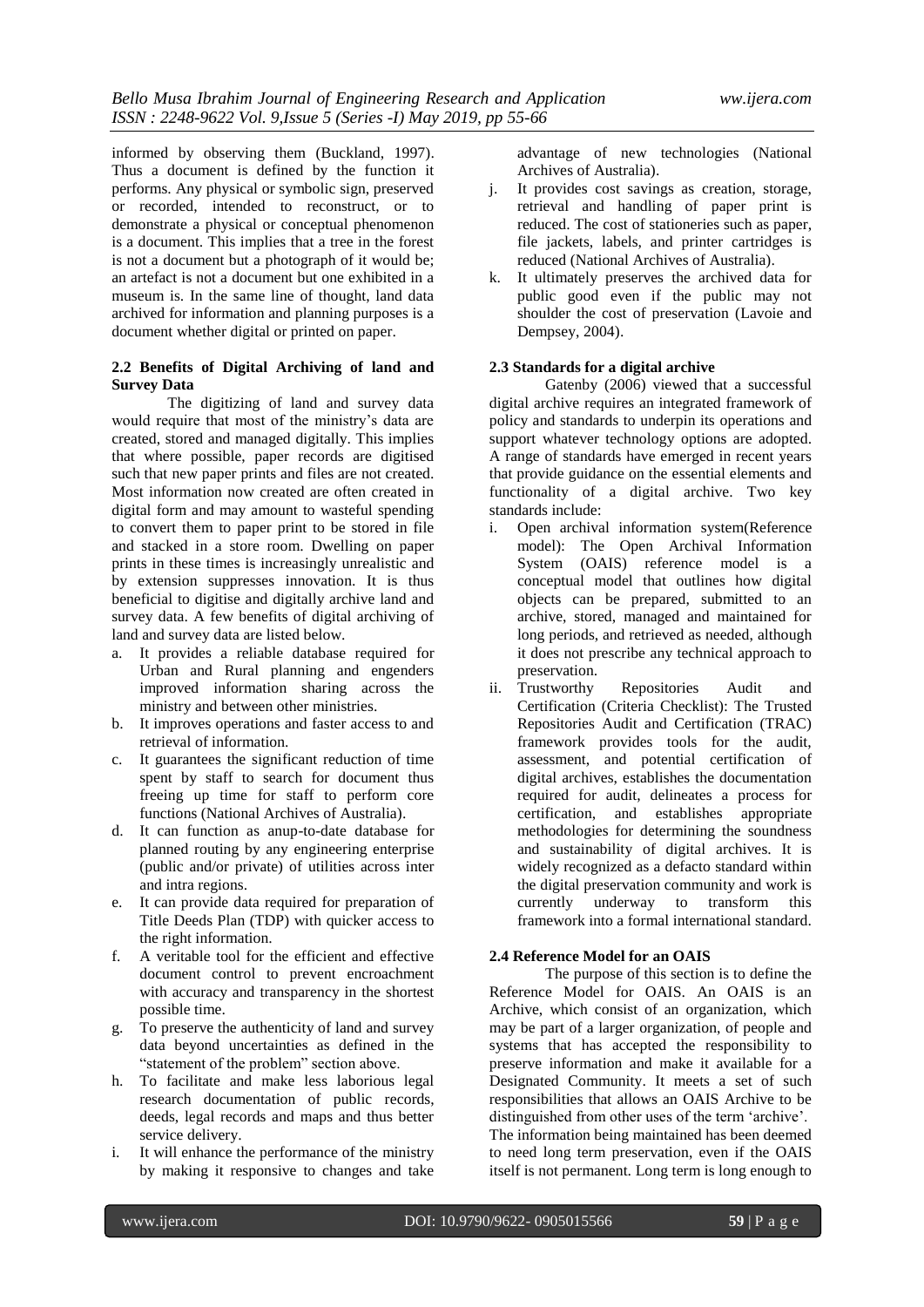informed by observing them (Buckland, 1997). Thus a document is defined by the function it performs. Any physical or symbolic sign, preserved or recorded, intended to reconstruct, or to demonstrate a physical or conceptual phenomenon is a document. This implies that a tree in the forest is not a document but a photograph of it would be; an artefact is not a document but one exhibited in a museum is. In the same line of thought, land data archived for information and planning purposes is a document whether digital or printed on paper.

## **2.2 Benefits of Digital Archiving of land and Survey Data**

The digitizing of land and survey data would require that most of the ministry's data are created, stored and managed digitally. This implies that where possible, paper records are digitised such that new paper prints and files are not created. Most information now created are often created in digital form and may amount to wasteful spending to convert them to paper print to be stored in file and stacked in a store room. Dwelling on paper prints in these times is increasingly unrealistic and by extension suppresses innovation. It is thus beneficial to digitise and digitally archive land and survey data. A few benefits of digital archiving of land and survey data are listed below.

- a. It provides a reliable database required for Urban and Rural planning and engenders improved information sharing across the ministry and between other ministries.
- b. It improves operations and faster access to and retrieval of information.
- c. It guarantees the significant reduction of time spent by staff to search for document thus freeing up time for staff to perform core functions (National Archives of Australia).
- d. It can function as anup-to-date database for planned routing by any engineering enterprise (public and/or private) of utilities across inter and intra regions.
- e. It can provide data required for preparation of Title Deeds Plan (TDP) with quicker access to the right information.
- f. A veritable tool for the efficient and effective document control to prevent encroachment with accuracy and transparency in the shortest possible time.
- g. To preserve the authenticity of land and survey data beyond uncertainties as defined in the "statement of the problem" section above.
- h. To facilitate and make less laborious legal research documentation of public records, deeds, legal records and maps and thus better service delivery.
- i. It will enhance the performance of the ministry by making it responsive to changes and take

advantage of new technologies (National Archives of Australia).

- j. It provides cost savings as creation, storage, retrieval and handling of paper print is reduced. The cost of stationeries such as paper, file jackets, labels, and printer cartridges is reduced (National Archives of Australia).
- k. It ultimately preserves the archived data for public good even if the public may not shoulder the cost of preservation (Lavoie and Dempsey, 2004).

## **2.3 Standards for a digital archive**

Gatenby (2006) viewed that a successful digital archive requires an integrated framework of policy and standards to underpin its operations and support whatever technology options are adopted. A range of standards have emerged in recent years that provide guidance on the essential elements and functionality of a digital archive. Two key standards include:

- i. Open archival information system(Reference model): The Open Archival Information System (OAIS) reference model is a conceptual model that outlines how digital objects can be prepared, submitted to an archive, stored, managed and maintained for long periods, and retrieved as needed, although it does not prescribe any technical approach to preservation.
- ii. Trustworthy Repositories Audit and Certification (Criteria Checklist): The Trusted Repositories Audit and Certification (TRAC) framework provides tools for the audit, assessment, and potential certification of digital archives, establishes the documentation required for audit, delineates a process for certification, and establishes appropriate methodologies for determining the soundness and sustainability of digital archives. It is widely recognized as a defacto standard within the digital preservation community and work is currently underway to transform this framework into a formal international standard.

#### **2.4 Reference Model for an OAIS**

The purpose of this section is to define the Reference Model for OAIS. An OAIS is an Archive, which consist of an organization, which may be part of a larger organization, of people and systems that has accepted the responsibility to preserve information and make it available for a Designated Community. It meets a set of such responsibilities that allows an OAIS Archive to be distinguished from other uses of the term "archive". The information being maintained has been deemed to need long term preservation, even if the OAIS itself is not permanent. Long term is long enough to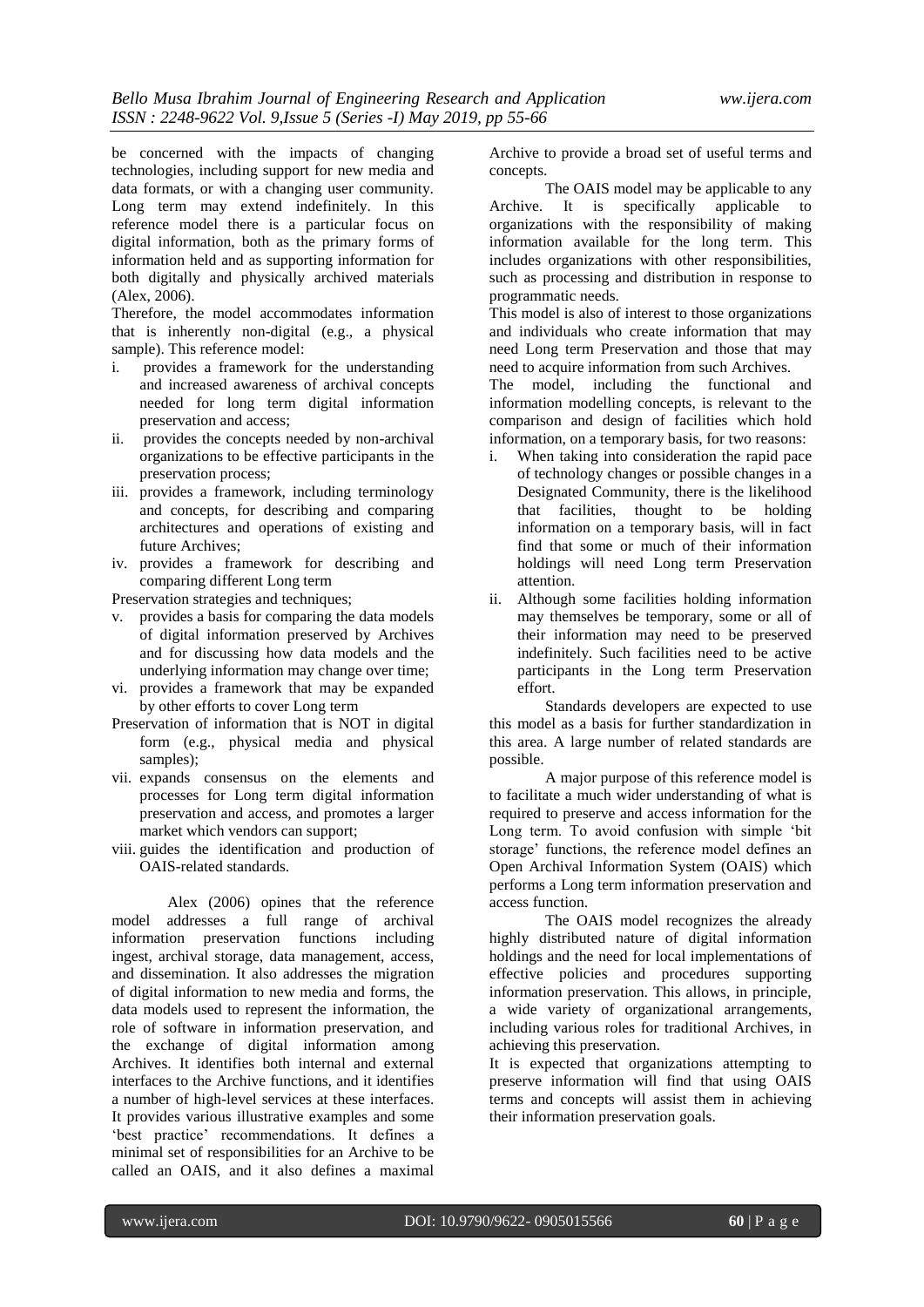be concerned with the impacts of changing technologies, including support for new media and data formats, or with a changing user community. Long term may extend indefinitely. In this reference model there is a particular focus on digital information, both as the primary forms of information held and as supporting information for both digitally and physically archived materials (Alex, 2006).

Therefore, the model accommodates information that is inherently non-digital (e.g., a physical sample). This reference model:

- i. provides a framework for the understanding and increased awareness of archival concepts needed for long term digital information preservation and access;
- ii. provides the concepts needed by non-archival organizations to be effective participants in the preservation process;
- iii. provides a framework, including terminology and concepts, for describing and comparing architectures and operations of existing and future Archives;
- iv. provides a framework for describing and comparing different Long term

Preservation strategies and techniques;

- v. provides a basis for comparing the data models of digital information preserved by Archives and for discussing how data models and the underlying information may change over time;
- vi. provides a framework that may be expanded by other efforts to cover Long term
- Preservation of information that is NOT in digital form (e.g., physical media and physical samples);
- vii. expands consensus on the elements and processes for Long term digital information preservation and access, and promotes a larger market which vendors can support;
- viii. guides the identification and production of OAIS-related standards.

Alex (2006) opines that the reference model addresses a full range of archival information preservation functions including ingest, archival storage, data management, access, and dissemination. It also addresses the migration of digital information to new media and forms, the data models used to represent the information, the role of software in information preservation, and the exchange of digital information among Archives. It identifies both internal and external interfaces to the Archive functions, and it identifies a number of high-level services at these interfaces. It provides various illustrative examples and some 'best practice' recommendations. It defines a minimal set of responsibilities for an Archive to be called an OAIS, and it also defines a maximal

Archive to provide a broad set of useful terms and concepts.

The OAIS model may be applicable to any Archive. It is specifically applicable to organizations with the responsibility of making information available for the long term. This includes organizations with other responsibilities, such as processing and distribution in response to programmatic needs.

This model is also of interest to those organizations and individuals who create information that may need Long term Preservation and those that may need to acquire information from such Archives.

The model, including the functional and information modelling concepts, is relevant to the comparison and design of facilities which hold information, on a temporary basis, for two reasons:

- i. When taking into consideration the rapid pace of technology changes or possible changes in a Designated Community, there is the likelihood that facilities, thought to be holding information on a temporary basis, will in fact find that some or much of their information holdings will need Long term Preservation attention.
- ii. Although some facilities holding information may themselves be temporary, some or all of their information may need to be preserved indefinitely. Such facilities need to be active participants in the Long term Preservation effort.

Standards developers are expected to use this model as a basis for further standardization in this area. A large number of related standards are possible.

A major purpose of this reference model is to facilitate a much wider understanding of what is required to preserve and access information for the Long term. To avoid confusion with simple "bit storage" functions, the reference model defines an Open Archival Information System (OAIS) which performs a Long term information preservation and access function.

The OAIS model recognizes the already highly distributed nature of digital information holdings and the need for local implementations of effective policies and procedures supporting information preservation. This allows, in principle, a wide variety of organizational arrangements, including various roles for traditional Archives, in achieving this preservation.

It is expected that organizations attempting to preserve information will find that using OAIS terms and concepts will assist them in achieving their information preservation goals.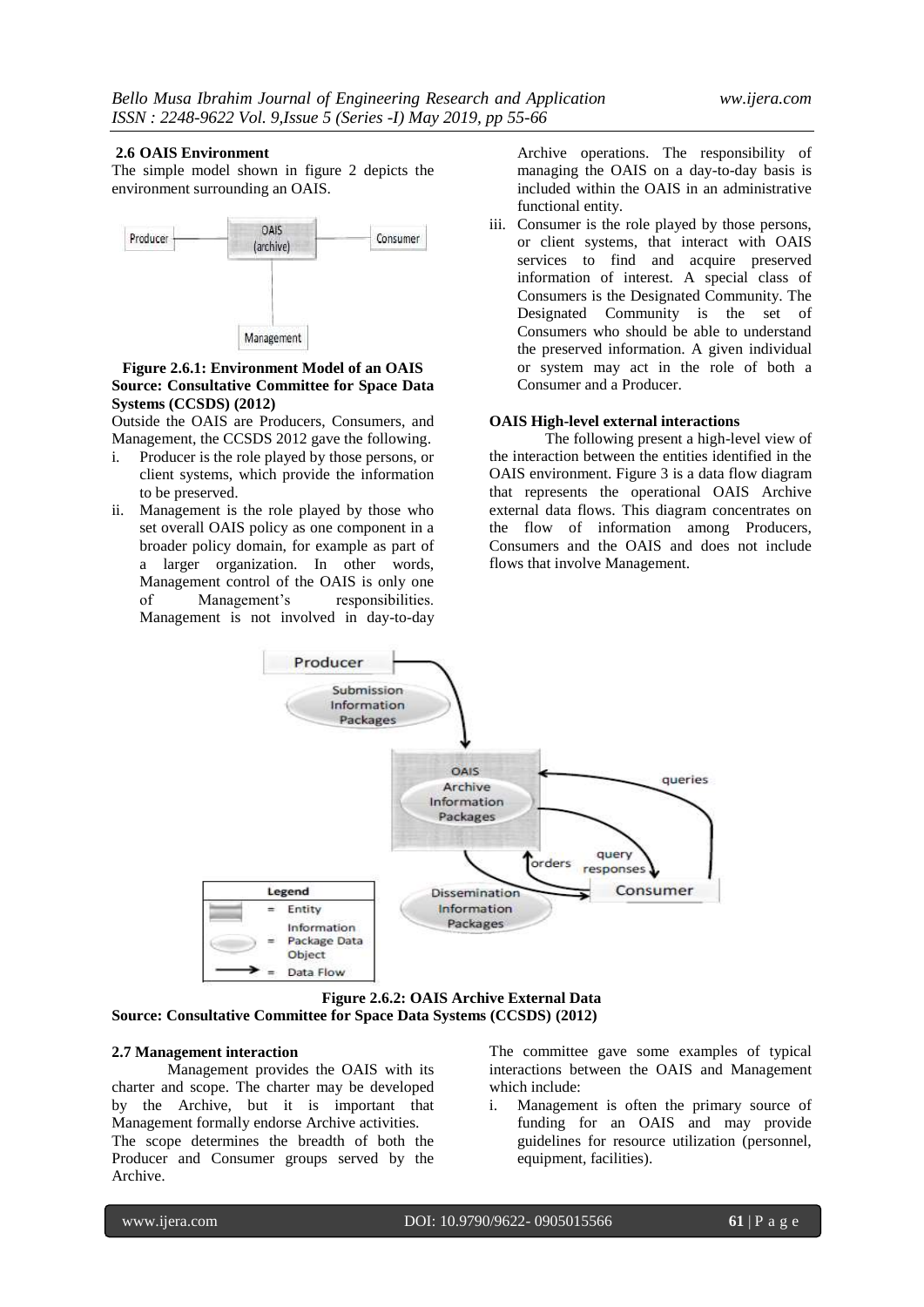#### **2.6 OAIS Environment**

The simple model shown in figure 2 depicts the environment surrounding an OAIS.



### **Figure 2.6.1: Environment Model of an OAIS Source: Consultative Committee for Space Data Systems (CCSDS) (2012)**

Outside the OAIS are Producers, Consumers, and Management, the CCSDS 2012 gave the following.

- i. Producer is the role played by those persons, or client systems, which provide the information to be preserved.
- ii. Management is the role played by those who set overall OAIS policy as one component in a broader policy domain, for example as part of a larger organization. In other words, Management control of the OAIS is only one of Management"s responsibilities. Management is not involved in day-to-day

Archive operations. The responsibility of managing the OAIS on a day-to-day basis is included within the OAIS in an administrative functional entity.

iii. Consumer is the role played by those persons, or client systems, that interact with OAIS services to find and acquire preserved information of interest. A special class of Consumers is the Designated Community. The Designated Community is the set of Consumers who should be able to understand the preserved information. A given individual or system may act in the role of both a Consumer and a Producer.

#### **OAIS High-level external interactions**

The following present a high-level view of the interaction between the entities identified in the OAIS environment. Figure 3 is a data flow diagram that represents the operational OAIS Archive external data flows. This diagram concentrates on the flow of information among Producers, Consumers and the OAIS and does not include flows that involve Management.



**Figure 2.6.2: OAIS Archive External Data Source: Consultative Committee for Space Data Systems (CCSDS) (2012)** 

## **2.7 Management interaction**

Management provides the OAIS with its charter and scope. The charter may be developed by the Archive, but it is important that Management formally endorse Archive activities. The scope determines the breadth of both the Producer and Consumer groups served by the Archive.

The committee gave some examples of typical interactions between the OAIS and Management which include:

i. Management is often the primary source of funding for an OAIS and may provide guidelines for resource utilization (personnel, equipment, facilities).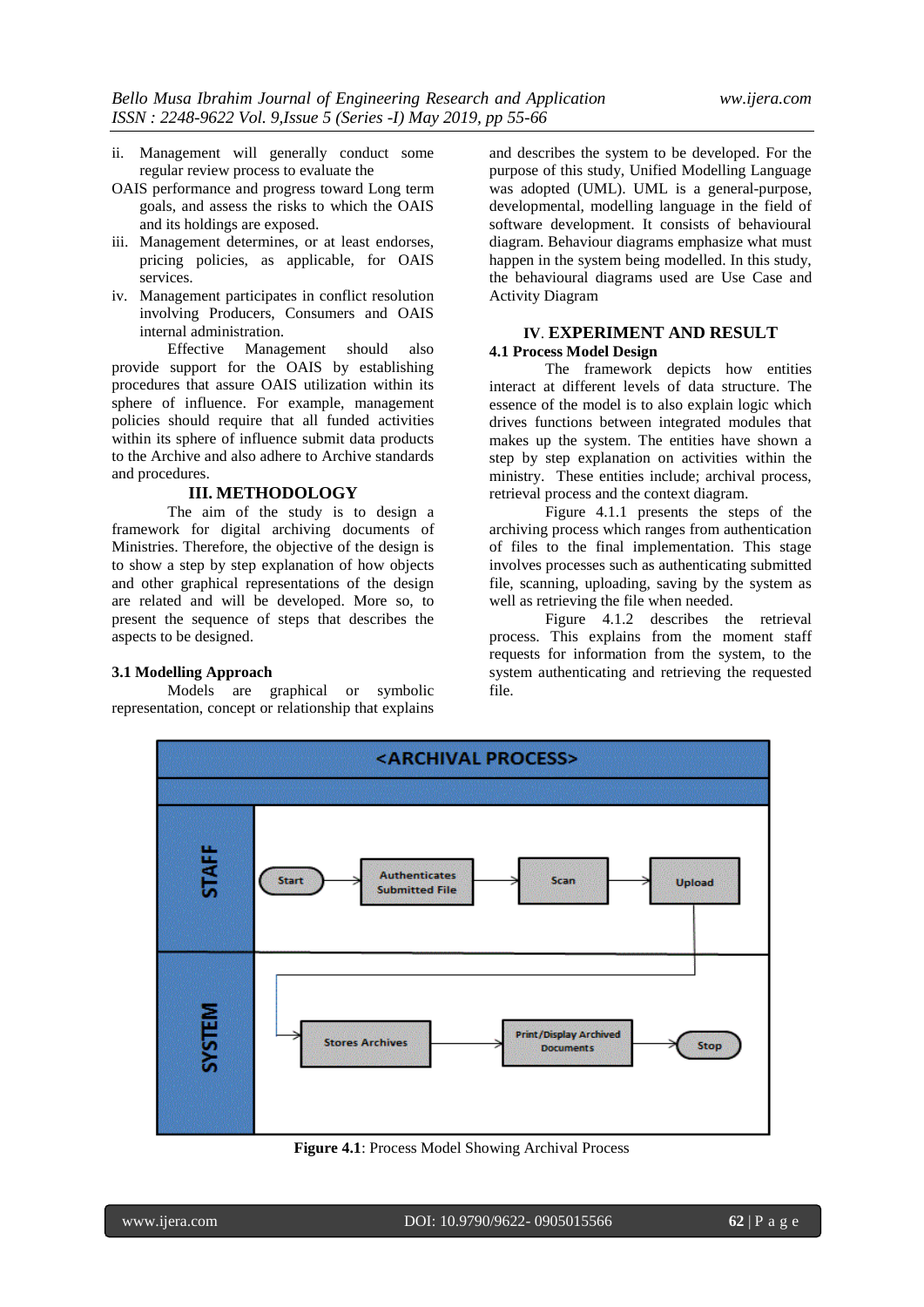- ii. Management will generally conduct some regular review process to evaluate the
- OAIS performance and progress toward Long term goals, and assess the risks to which the OAIS and its holdings are exposed.
- iii. Management determines, or at least endorses, pricing policies, as applicable, for OAIS services.
- iv. Management participates in conflict resolution involving Producers, Consumers and OAIS internal administration.

Effective Management should also provide support for the OAIS by establishing procedures that assure OAIS utilization within its sphere of influence. For example, management policies should require that all funded activities within its sphere of influence submit data products to the Archive and also adhere to Archive standards and procedures.

#### **III. METHODOLOGY**

The aim of the study is to design a framework for digital archiving documents of Ministries. Therefore, the objective of the design is to show a step by step explanation of how objects and other graphical representations of the design are related and will be developed. More so, to present the sequence of steps that describes the aspects to be designed.

#### **3.1 Modelling Approach**

Models are graphical or symbolic representation, concept or relationship that explains

and describes the system to be developed. For the purpose of this study, Unified Modelling Language was adopted (UML). UML is a general-purpose, developmental, modelling language in the field of software development. It consists of behavioural diagram. Behaviour diagrams emphasize what must happen in the system being modelled. In this study, the behavioural diagrams used are Use Case and Activity Diagram

#### **IV**. **EXPERIMENT AND RESULT 4.1 Process Model Design**

The framework depicts how entities interact at different levels of data structure. The essence of the model is to also explain logic which drives functions between integrated modules that makes up the system. The entities have shown a step by step explanation on activities within the ministry. These entities include; archival process, retrieval process and the context diagram.

Figure 4.1.1 presents the steps of the archiving process which ranges from authentication of files to the final implementation. This stage involves processes such as authenticating submitted file, scanning, uploading, saving by the system as well as retrieving the file when needed.

Figure 4.1.2 describes the retrieval process. This explains from the moment staff requests for information from the system, to the system authenticating and retrieving the requested file.



**Figure 4.1**: Process Model Showing Archival Process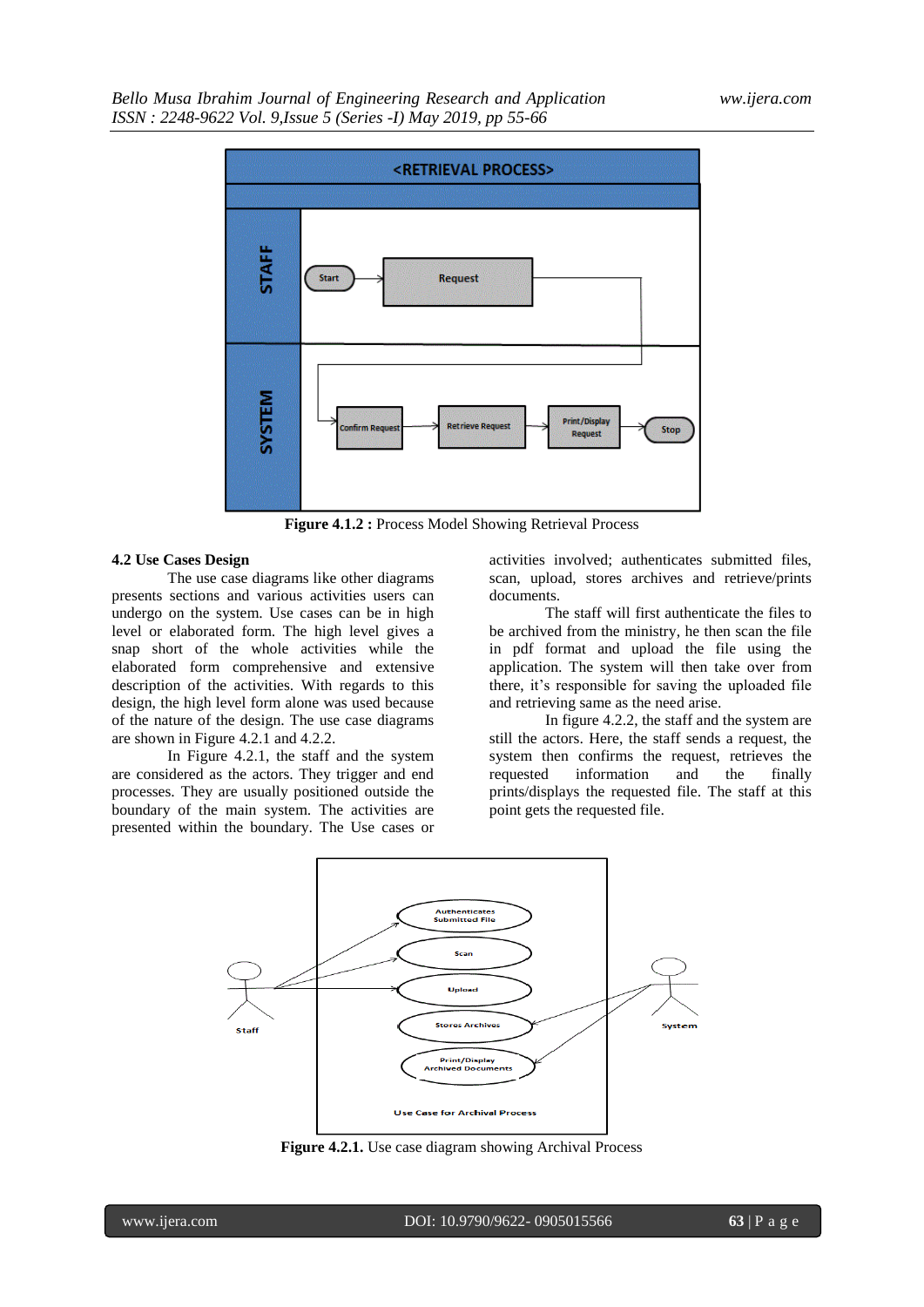

**Figure 4.1.2 :** Process Model Showing Retrieval Process

#### **4.2 Use Cases Design**

The use case diagrams like other diagrams presents sections and various activities users can undergo on the system. Use cases can be in high level or elaborated form. The high level gives a snap short of the whole activities while the elaborated form comprehensive and extensive description of the activities. With regards to this design, the high level form alone was used because of the nature of the design. The use case diagrams are shown in Figure 4.2.1 and 4.2.2.

In Figure 4.2.1, the staff and the system are considered as the actors. They trigger and end processes. They are usually positioned outside the boundary of the main system. The activities are presented within the boundary. The Use cases or

activities involved; authenticates submitted files, scan, upload, stores archives and retrieve/prints documents.

The staff will first authenticate the files to be archived from the ministry, he then scan the file in pdf format and upload the file using the application. The system will then take over from there, it's responsible for saving the uploaded file and retrieving same as the need arise.

In figure 4.2.2, the staff and the system are still the actors. Here, the staff sends a request, the system then confirms the request, retrieves the requested information and the finally prints/displays the requested file. The staff at this point gets the requested file.



**Figure 4.2.1.** Use case diagram showing Archival Process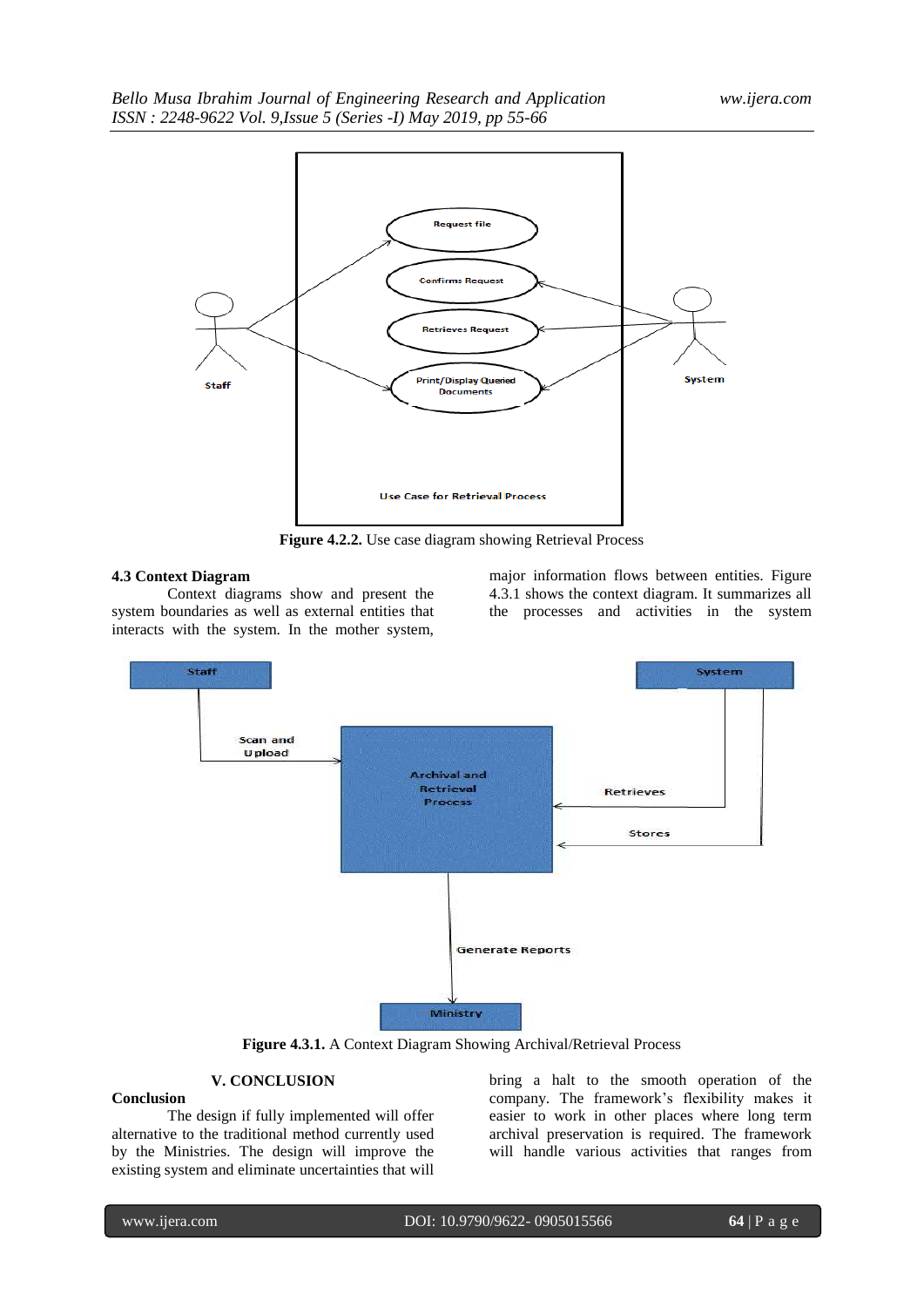

**Figure 4.2.2.** Use case diagram showing Retrieval Process

#### **4.3 Context Diagram**

Context diagrams show and present the system boundaries as well as external entities that interacts with the system. In the mother system, major information flows between entities. Figure 4.3.1 shows the context diagram. It summarizes all the processes and activities in the system



**Figure 4.3.1.** A Context Diagram Showing Archival/Retrieval Process

# **V. CONCLUSION**

**Conclusion** The design if fully implemented will offer alternative to the traditional method currently used by the Ministries. The design will improve the existing system and eliminate uncertainties that will

bring a halt to the smooth operation of the company. The framework"s flexibility makes it easier to work in other places where long term archival preservation is required. The framework will handle various activities that ranges from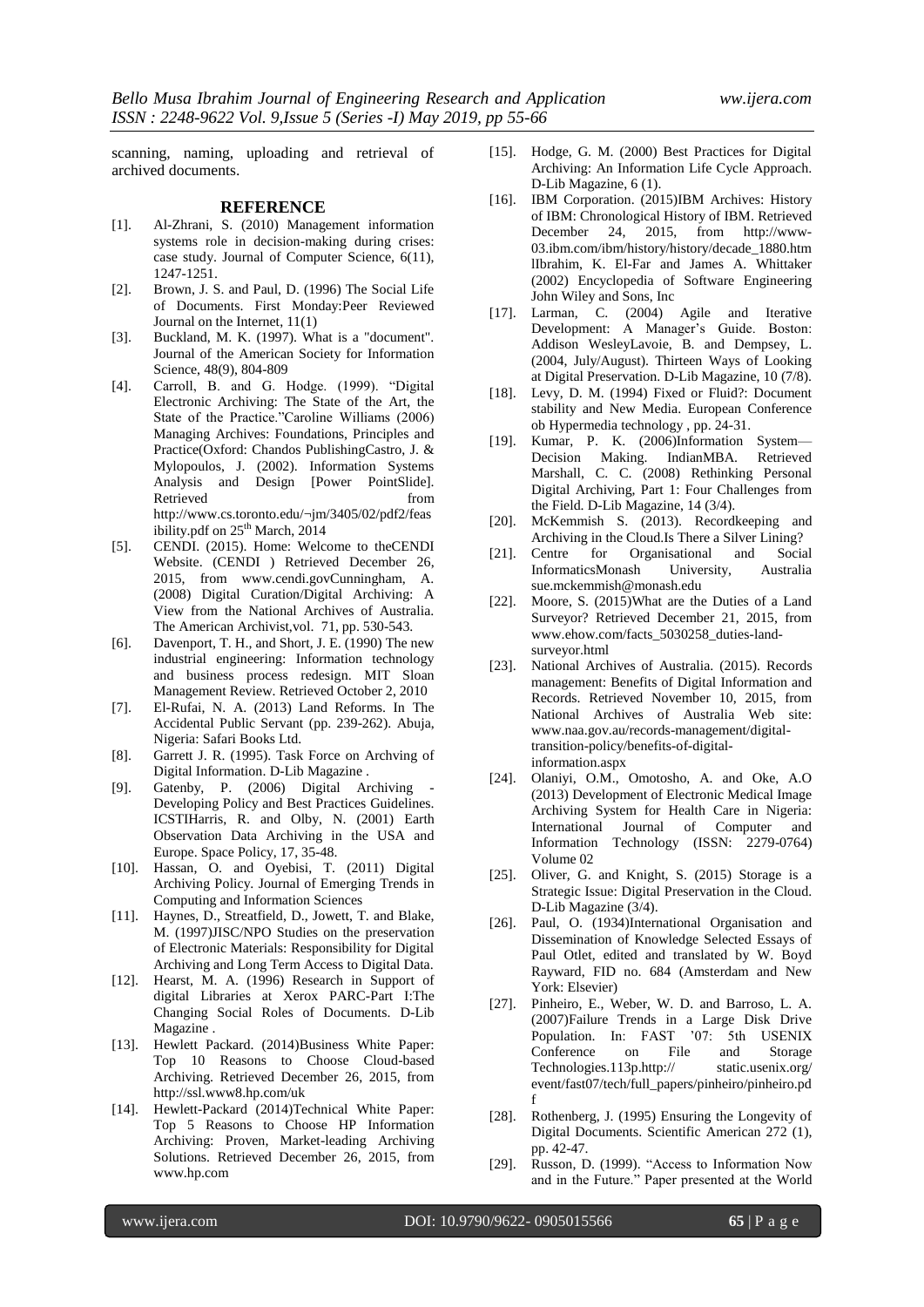scanning, naming, uploading and retrieval of archived documents.

#### **REFERENCE**

- [1]. Al-Zhrani, S. (2010) Management information systems role in decision-making during crises: case study. Journal of Computer Science, 6(11), 1247-1251.
- [2]. Brown, J. S. and Paul, D. (1996) The Social Life of Documents. First Monday:Peer Reviewed Journal on the Internet, 11(1)
- [3]. Buckland, M. K. (1997). What is a "document". Journal of the American Society for Information Science, 48(9), 804-809
- [4]. Carroll, B. and G. Hodge. (1999). "Digital Electronic Archiving: The State of the Art, the State of the Practice."Caroline Williams (2006) Managing Archives: Foundations, Principles and Practice(Oxford: Chandos PublishingCastro, J. & Mylopoulos, J. (2002). Information Systems Analysis and Design [Power PointSlide]. Retrieved from http://www.cs.toronto.edu/¬jm/3405/02/pdf2/feas ibility.pdf on 25<sup>th</sup> March, 2014
- [5]. CENDI. (2015). Home: Welcome to theCENDI Website. (CENDI ) Retrieved December 26, 2015, from www.cendi.govCunningham, A. (2008) Digital Curation/Digital Archiving: A View from the National Archives of Australia. The American Archivist,vol. 71, pp. 530-543.
- [6]. Davenport, T. H., and Short, J. E. (1990) The new industrial engineering: Information technology and business process redesign. MIT Sloan Management Review. Retrieved October 2, 2010
- [7]. El-Rufai, N. A. (2013) Land Reforms. In The Accidental Public Servant (pp. 239-262). Abuja, Nigeria: Safari Books Ltd.
- [8]. Garrett J. R. (1995). Task Force on Archving of Digital Information. D-Lib Magazine .
- [9]. Gatenby, P. (2006) Digital Archiving Developing Policy and Best Practices Guidelines. ICSTIHarris, R. and Olby, N. (2001) Earth Observation Data Archiving in the USA and Europe. Space Policy, 17, 35-48.
- [10]. Hassan, O. and Oyebisi, T. (2011) Digital Archiving Policy. Journal of Emerging Trends in Computing and Information Sciences
- [11]. Haynes, D., Streatfield, D., Jowett, T. and Blake, M. (1997)JISC/NPO Studies on the preservation of Electronic Materials: Responsibility for Digital Archiving and Long Term Access to Digital Data.
- [12]. Hearst, M. A. (1996) Research in Support of digital Libraries at Xerox PARC-Part I:The Changing Social Roles of Documents. D-Lib Magazine .
- [13]. Hewlett Packard. (2014)Business White Paper: Top 10 Reasons to Choose Cloud-based Archiving. Retrieved December 26, 2015, from http://ssl.www8.hp.com/uk
- [14]. Hewlett-Packard (2014)Technical White Paper: Top 5 Reasons to Choose HP Information Archiving: Proven, Market-leading Archiving Solutions. Retrieved December 26, 2015, from www.hp.com
- [15]. Hodge, G. M. (2000) Best Practices for Digital Archiving: An Information Life Cycle Approach. D-Lib Magazine, 6 (1).
- [16]. IBM Corporation. (2015)IBM Archives: History of IBM: Chronological History of IBM. Retrieved December 24, 2015, from http://www-03.ibm.com/ibm/history/history/decade\_1880.htm lIbrahim, K. El-Far and James A. Whittaker (2002) Encyclopedia of Software Engineering John Wiley and Sons, Inc
- [17]. Larman, C. (2004) Agile and Iterative Development: A Manager's Guide. Boston: Addison WesleyLavoie, B. and Dempsey, L. (2004, July/August). Thirteen Ways of Looking at Digital Preservation. D-Lib Magazine, 10 (7/8).
- [18]. Levy, D. M. (1994) Fixed or Fluid?: Document stability and New Media. European Conference ob Hypermedia technology , pp. 24-31.
- [19]. Kumar, P. K. (2006)Information System— Decision Making. IndianMBA. Retrieved Marshall, C. C. (2008) Rethinking Personal Digital Archiving, Part 1: Four Challenges from the Field. D-Lib Magazine, 14 (3/4).
- [20]. McKemmish S. (2013). Recordkeeping and Archiving in the Cloud.Is There a Silver Lining?
- [21]. Centre for Organisational and Social InformaticsMonash University, Australia sue.mckemmish@monash.edu
- [22]. Moore, S. (2015)What are the Duties of a Land Surveyor? Retrieved December 21, 2015, from www.ehow.com/facts\_5030258\_duties-landsurveyor.html
- [23]. National Archives of Australia. (2015). Records management: Benefits of Digital Information and Records. Retrieved November 10, 2015, from National Archives of Australia Web site: www.naa.gov.au/records-management/digitaltransition-policy/benefits-of-digitalinformation.aspx
- [24]. Olaniyi, O.M., Omotosho, A. and Oke, A.O (2013) Development of Electronic Medical Image Archiving System for Health Care in Nigeria: International Journal of Computer and Information Technology (ISSN: 2279-0764) Volume 02
- [25]. Oliver, G. and Knight, S. (2015) Storage is a Strategic Issue: Digital Preservation in the Cloud. D-Lib Magazine (3/4).
- [26]. Paul, O. (1934)International Organisation and Dissemination of Knowledge Selected Essays of Paul Otlet, edited and translated by W. Boyd Rayward, FID no. 684 (Amsterdam and New York: Elsevier)
- [27]. Pinheiro, E., Weber, W. D. and Barroso, L. A. (2007)Failure Trends in a Large Disk Drive Population. In: FAST '07: 5th USENIX Conference on File and Storage Technologies.113p.http:// static.usenix.org/ event/fast07/tech/full\_papers/pinheiro/pinheiro.pd f
- [28]. Rothenberg, J. (1995) Ensuring the Longevity of Digital Documents. Scientific American 272 (1), pp. 42-47.
- [29]. Russon, D. (1999). "Access to Information Now and in the Future." Paper presented at the World